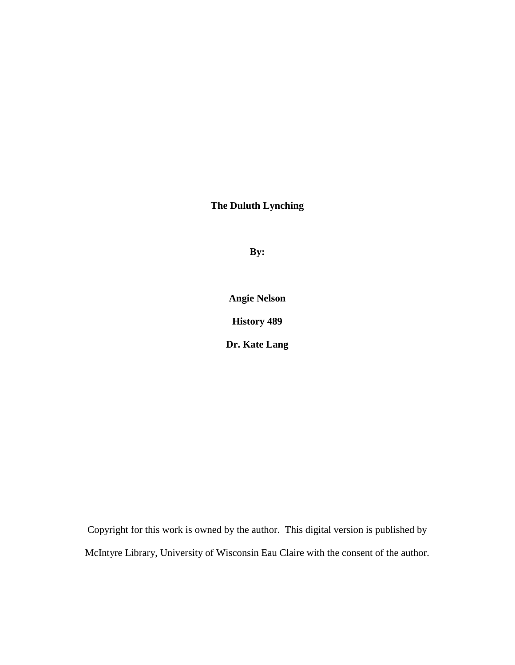**The Duluth Lynching**

**By:**

**Angie Nelson**

**History 489**

**Dr. Kate Lang**

Copyright for this work is owned by the author. This digital version is published by McIntyre Library, University of Wisconsin Eau Claire with the consent of the author.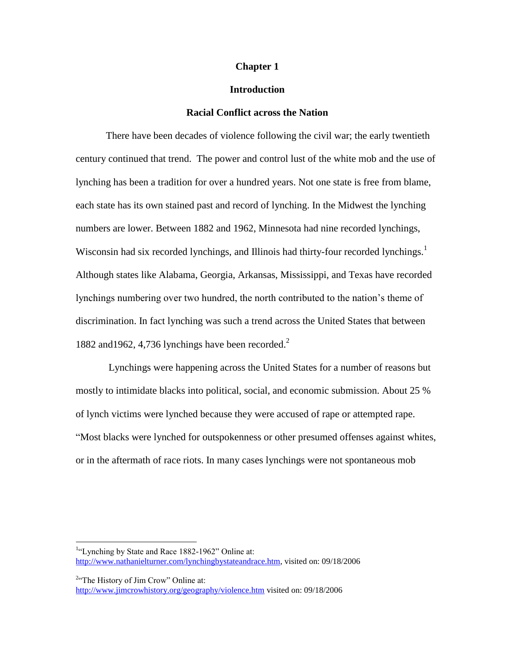# **Chapter 1**

# **Introduction**

## **Racial Conflict across the Nation**

There have been decades of violence following the civil war; the early twentieth century continued that trend. The power and control lust of the white mob and the use of lynching has been a tradition for over a hundred years. Not one state is free from blame, each state has its own stained past and record of lynching. In the Midwest the lynching numbers are lower. Between 1882 and 1962, Minnesota had nine recorded lynchings, Wisconsin had six recorded lynchings, and Illinois had thirty-four recorded lynchings.<sup>1</sup> Although states like Alabama, Georgia, Arkansas, Mississippi, and Texas have recorded lynchings numbering over two hundred, the north contributed to the nation"s theme of discrimination. In fact lynching was such a trend across the United States that between 1882 and 1962, 4,736 lynchings have been recorded.<sup>2</sup>

Lynchings were happening across the United States for a number of reasons but mostly to intimidate blacks into political, social, and economic submission. About 25 % of lynch victims were lynched because they were accused of rape or attempted rape. "Most blacks were lynched for outspokenness or other presumed offenses against whites, or in the aftermath of race riots. In many cases lynchings were not spontaneous mob

<sup>2</sup>"The History of Jim Crow" Online at: <http://www.jimcrowhistory.org/geography/violence.htm> visited on: 09/18/2006

<sup>&</sup>lt;sup>1</sup>"Lynching by State and Race 1882-1962" Online at: [http://www.nathanielturner.com/lynchingbystateandrace.htm,](http://www.nathanielturner.com/lynchingbystateandrace.htm) visited on: 09/18/2006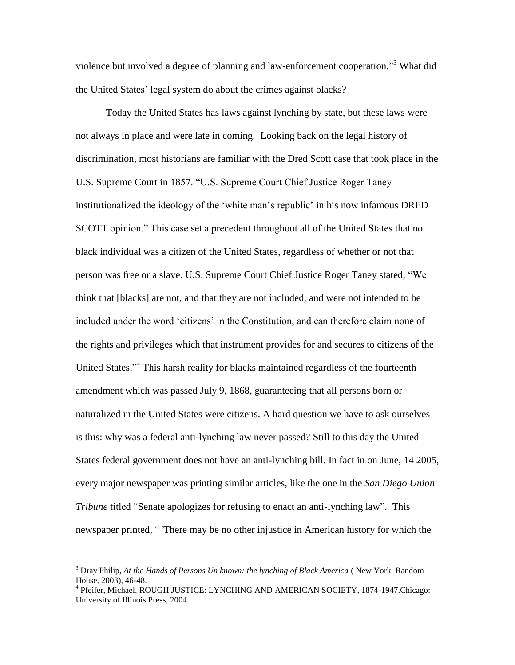violence but involved a degree of planning and law-enforcement cooperation."<sup>3</sup> What did the United States" legal system do about the crimes against blacks?

Today the United States has laws against lynching by state, but these laws were not always in place and were late in coming. Looking back on the legal history of discrimination, most historians are familiar with the Dred Scott case that took place in the U.S. Supreme Court in 1857. "U.S. Supreme Court Chief Justice Roger Taney institutionalized the ideology of the "white man"s republic" in his now infamous DRED SCOTT opinion." This case set a precedent throughout all of the United States that no black individual was a citizen of the United States, regardless of whether or not that person was free or a slave. U.S. Supreme Court Chief Justice Roger Taney stated, "We think that [blacks] are not, and that they are not included, and were not intended to be included under the word "citizens" in the Constitution, and can therefore claim none of the rights and privileges which that instrument provides for and secures to citizens of the United States."<sup>4</sup> This harsh reality for blacks maintained regardless of the fourteenth amendment which was passed July 9, 1868, guaranteeing that all persons born or naturalized in the United States were citizens. A hard question we have to ask ourselves is this: why was a federal anti-lynching law never passed? Still to this day the United States federal government does not have an anti-lynching bill. In fact in on June, 14 2005, every major newspaper was printing similar articles, like the one in the *San Diego Union Tribune* titled "Senate apologizes for refusing to enact an anti-lynching law". This newspaper printed, " 'There may be no other injustice in American history for which the

<sup>3</sup> Dray Philip, *At the Hands of Persons Un known: the lynching of Black America* ( New York: Random House, 2003), 46-48.

<sup>4</sup> Pfeifer, Michael. ROUGH JUSTICE: LYNCHING AND AMERICAN SOCIETY, 1874-1947.Chicago: University of Illinois Press, 2004.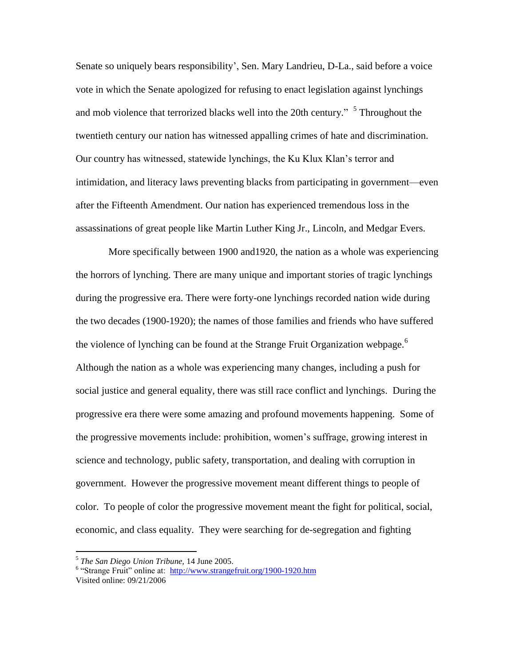Senate so uniquely bears responsibility', Sen. Mary Landrieu, D-La., said before a voice vote in which the Senate apologized for refusing to enact legislation against lynchings and mob violence that terrorized blacks well into the 20th century." <sup>5</sup> Throughout the twentieth century our nation has witnessed appalling crimes of hate and discrimination. Our country has witnessed, statewide lynchings, the Ku Klux Klan"s terror and intimidation, and literacy laws preventing blacks from participating in government—even after the Fifteenth Amendment. Our nation has experienced tremendous loss in the assassinations of great people like Martin Luther King Jr., Lincoln, and Medgar Evers.

More specifically between 1900 and1920, the nation as a whole was experiencing the horrors of lynching. There are many unique and important stories of tragic lynchings during the progressive era. There were forty-one lynchings recorded nation wide during the two decades (1900-1920); the names of those families and friends who have suffered the violence of lynching can be found at the Strange Fruit Organization webpage.<sup>6</sup> Although the nation as a whole was experiencing many changes, including a push for social justice and general equality, there was still race conflict and lynchings. During the progressive era there were some amazing and profound movements happening. Some of the progressive movements include: prohibition, women"s suffrage, growing interest in science and technology, public safety, transportation, and dealing with corruption in government. However the progressive movement meant different things to people of color. To people of color the progressive movement meant the fight for political, social, economic, and class equality. They were searching for de-segregation and fighting

 5 *The San Diego Union Tribune,* 14 June 2005.

<sup>&</sup>lt;sup>6</sup> "Strange Fruit" online at: http://www.strangefruit.org/1900-1920.htm

Visited online: 09/21/2006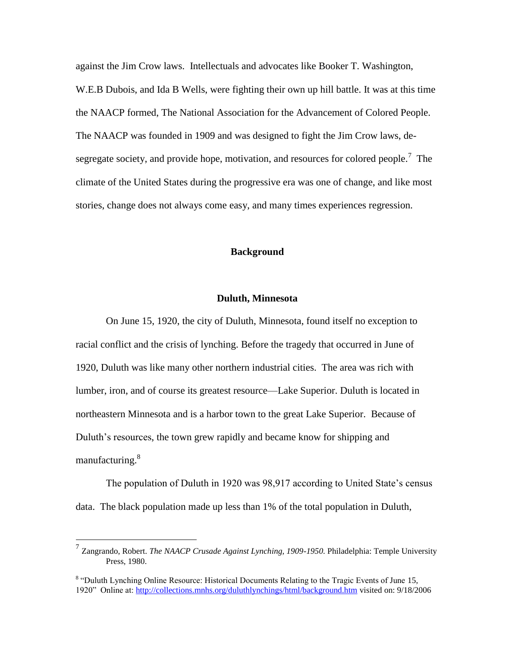against the Jim Crow laws. Intellectuals and advocates like Booker T. Washington, W.E.B Dubois, and Ida B Wells, were fighting their own up hill battle. It was at this time the NAACP formed, The National Association for the Advancement of Colored People. The NAACP was founded in 1909 and was designed to fight the Jim Crow laws, desegregate society, and provide hope, motivation, and resources for colored people.<sup>7</sup> The climate of the United States during the progressive era was one of change, and like most stories, change does not always come easy, and many times experiences regression.

# **Background**

## **Duluth, Minnesota**

On June 15, 1920, the city of Duluth, Minnesota, found itself no exception to racial conflict and the crisis of lynching. Before the tragedy that occurred in June of 1920, Duluth was like many other northern industrial cities. The area was rich with lumber, iron, and of course its greatest resource—Lake Superior. Duluth is located in northeastern Minnesota and is a harbor town to the great Lake Superior. Because of Duluth's resources, the town grew rapidly and became know for shipping and manufacturing.<sup>8</sup>

The population of Duluth in 1920 was 98,917 according to United State's census data. The black population made up less than 1% of the total population in Duluth,

<sup>7</sup> Zangrando, Robert. *The NAACP Crusade Against Lynching, 1909-1950.* Philadelphia: Temple University Press, 1980.

<sup>&</sup>lt;sup>8</sup> "Duluth Lynching Online Resource: Historical Documents Relating to the Tragic Events of June 15, 1920" Online at:<http://collections.mnhs.org/duluthlynchings/html/background.htm> visited on: 9/18/2006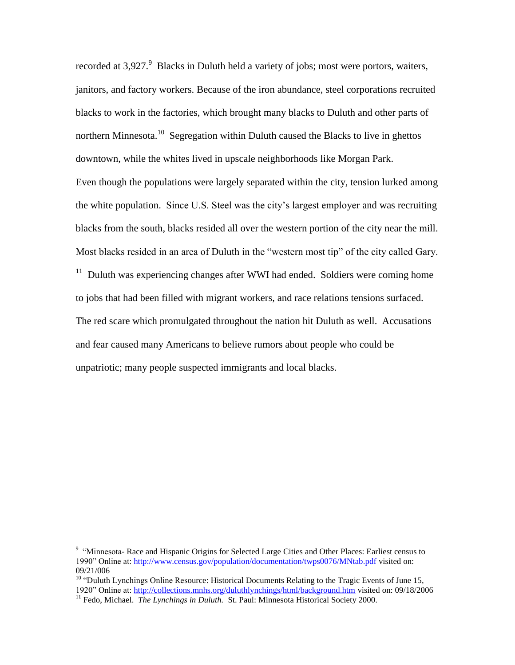recorded at  $3,927$ . Blacks in Duluth held a variety of jobs; most were portors, waiters, janitors, and factory workers. Because of the iron abundance, steel corporations recruited blacks to work in the factories, which brought many blacks to Duluth and other parts of northern Minnesota.<sup>10</sup> Segregation within Duluth caused the Blacks to live in ghettos downtown, while the whites lived in upscale neighborhoods like Morgan Park. Even though the populations were largely separated within the city, tension lurked among the white population. Since U.S. Steel was the city"s largest employer and was recruiting blacks from the south, blacks resided all over the western portion of the city near the mill. Most blacks resided in an area of Duluth in the "western most tip" of the city called Gary.  $11$  Duluth was experiencing changes after WWI had ended. Soldiers were coming home to jobs that had been filled with migrant workers, and race relations tensions surfaced. The red scare which promulgated throughout the nation hit Duluth as well. Accusations and fear caused many Americans to believe rumors about people who could be unpatriotic; many people suspected immigrants and local blacks.

 9 "Minnesota- Race and Hispanic Origins for Selected Large Cities and Other Places: Earliest census to 1990" Online at:<http://www.census.gov/population/documentation/twps0076/MNtab.pdf> visited on: 09/21/006

 $10$  "Duluth Lynchings Online Resource: Historical Documents Relating to the Tragic Events of June 15, 1920" Online at:<http://collections.mnhs.org/duluthlynchings/html/background.htm> visited on: 09/18/2006 <sup>11</sup> Fedo, Michael. *The Lynchings in Duluth.* St. Paul: Minnesota Historical Society 2000.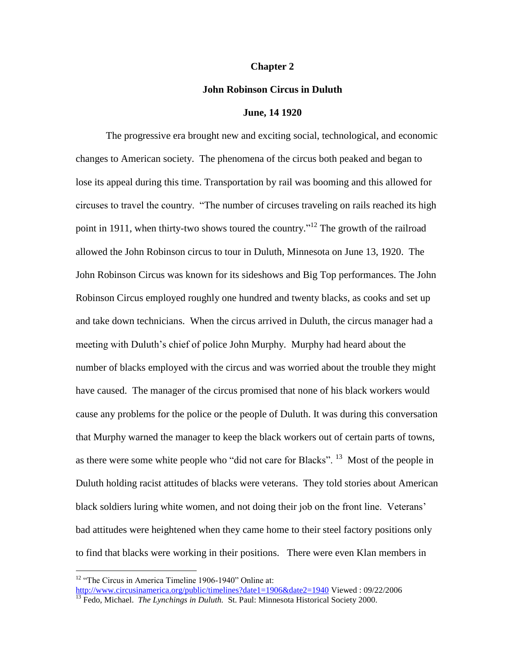### **Chapter 2**

### **John Robinson Circus in Duluth**

### **June, 14 1920**

The progressive era brought new and exciting social, technological, and economic changes to American society. The phenomena of the circus both peaked and began to lose its appeal during this time. Transportation by rail was booming and this allowed for circuses to travel the country. "The number of circuses traveling on rails reached its high point in 1911, when thirty-two shows toured the country."<sup>12</sup> The growth of the railroad allowed the John Robinson circus to tour in Duluth, Minnesota on June 13, 1920. The John Robinson Circus was known for its sideshows and Big Top performances. The John Robinson Circus employed roughly one hundred and twenty blacks, as cooks and set up and take down technicians. When the circus arrived in Duluth, the circus manager had a meeting with Duluth's chief of police John Murphy. Murphy had heard about the number of blacks employed with the circus and was worried about the trouble they might have caused. The manager of the circus promised that none of his black workers would cause any problems for the police or the people of Duluth. It was during this conversation that Murphy warned the manager to keep the black workers out of certain parts of towns, as there were some white people who "did not care for Blacks". <sup>13</sup> Most of the people in Duluth holding racist attitudes of blacks were veterans. They told stories about American black soldiers luring white women, and not doing their job on the front line. Veterans' bad attitudes were heightened when they came home to their steel factory positions only to find that blacks were working in their positions. There were even Klan members in

 $\overline{a}$ <sup>12</sup> "The Circus in America Timeline 1906-1940" Online at: <http://www.circusinamerica.org/public/timelines?date1=1906&date2=1940> Viewed : 09/22/2006

<sup>&</sup>lt;sup>13</sup> Fedo, Michael. *The Lynchings in Duluth.* St. Paul: Minnesota Historical Society 2000.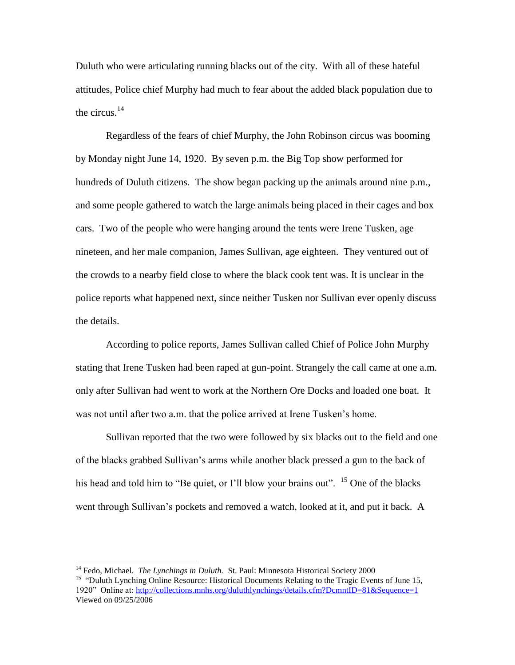Duluth who were articulating running blacks out of the city. With all of these hateful attitudes, Police chief Murphy had much to fear about the added black population due to the circus. $14$ 

Regardless of the fears of chief Murphy, the John Robinson circus was booming by Monday night June 14, 1920. By seven p.m. the Big Top show performed for hundreds of Duluth citizens. The show began packing up the animals around nine p.m., and some people gathered to watch the large animals being placed in their cages and box cars. Two of the people who were hanging around the tents were Irene Tusken, age nineteen, and her male companion, James Sullivan, age eighteen. They ventured out of the crowds to a nearby field close to where the black cook tent was. It is unclear in the police reports what happened next, since neither Tusken nor Sullivan ever openly discuss the details.

According to police reports, James Sullivan called Chief of Police John Murphy stating that Irene Tusken had been raped at gun-point. Strangely the call came at one a.m. only after Sullivan had went to work at the Northern Ore Docks and loaded one boat. It was not until after two a.m. that the police arrived at Irene Tusken's home.

Sullivan reported that the two were followed by six blacks out to the field and one of the blacks grabbed Sullivan"s arms while another black pressed a gun to the back of his head and told him to "Be quiet, or I'll blow your brains out". <sup>15</sup> One of the blacks went through Sullivan"s pockets and removed a watch, looked at it, and put it back. A

<sup>&</sup>lt;sup>14</sup> Fedo, Michael. *The Lynchings in Duluth.* St. Paul: Minnesota Historical Society 2000 <sup>15</sup> "Duluth Lynching Online Resource: Historical Documents Relating to the Tragic Events of June 15, 1920" Online at:<http://collections.mnhs.org/duluthlynchings/details.cfm?DcmntID=81&Sequence=1> Viewed on 09/25/2006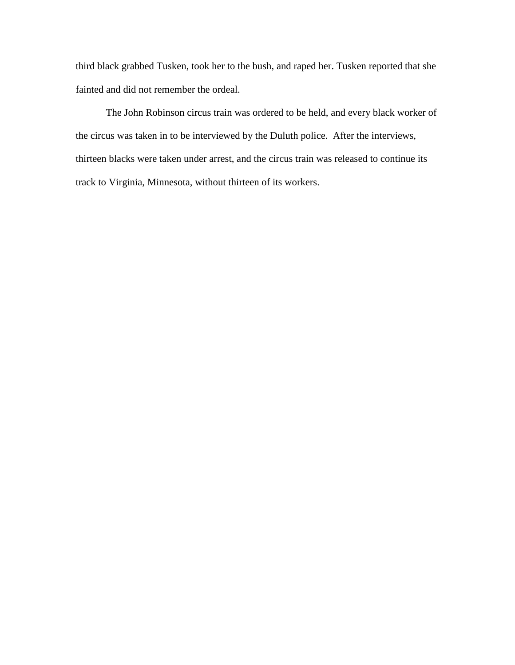third black grabbed Tusken, took her to the bush, and raped her. Tusken reported that she fainted and did not remember the ordeal.

The John Robinson circus train was ordered to be held, and every black worker of the circus was taken in to be interviewed by the Duluth police. After the interviews, thirteen blacks were taken under arrest, and the circus train was released to continue its track to Virginia, Minnesota, without thirteen of its workers.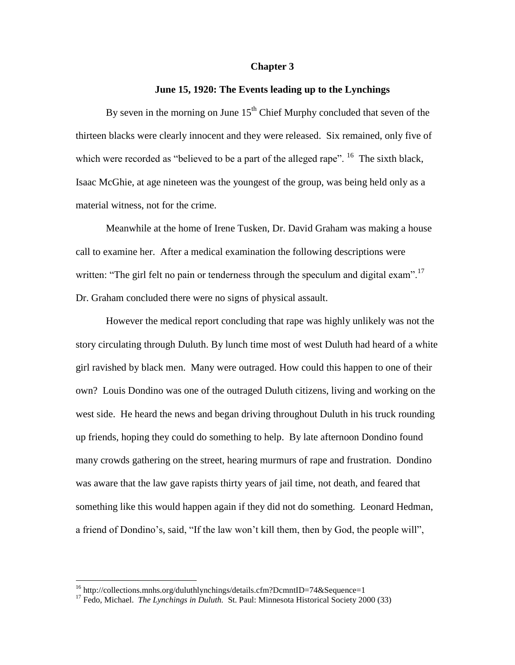### **Chapter 3**

### **June 15, 1920: The Events leading up to the Lynchings**

By seven in the morning on June  $15<sup>th</sup>$  Chief Murphy concluded that seven of the thirteen blacks were clearly innocent and they were released. Six remained, only five of which were recorded as "believed to be a part of the alleged rape".  $^{16}$  The sixth black, Isaac McGhie, at age nineteen was the youngest of the group, was being held only as a material witness, not for the crime.

Meanwhile at the home of Irene Tusken, Dr. David Graham was making a house call to examine her. After a medical examination the following descriptions were written: "The girl felt no pain or tenderness through the speculum and digital exam".<sup>17</sup> Dr. Graham concluded there were no signs of physical assault.

However the medical report concluding that rape was highly unlikely was not the story circulating through Duluth. By lunch time most of west Duluth had heard of a white girl ravished by black men. Many were outraged. How could this happen to one of their own? Louis Dondino was one of the outraged Duluth citizens, living and working on the west side. He heard the news and began driving throughout Duluth in his truck rounding up friends, hoping they could do something to help. By late afternoon Dondino found many crowds gathering on the street, hearing murmurs of rape and frustration. Dondino was aware that the law gave rapists thirty years of jail time, not death, and feared that something like this would happen again if they did not do something. Leonard Hedman, a friend of Dondino's, said, "If the law won't kill them, then by God, the people will",

<sup>&</sup>lt;sup>16</sup> http://collections.mnhs.org/duluthlynchings/details.cfm?DcmntID=74&Sequence=1

<sup>&</sup>lt;sup>17</sup> Fedo, Michael. *The Lynchings in Duluth.* St. Paul: Minnesota Historical Society 2000 (33)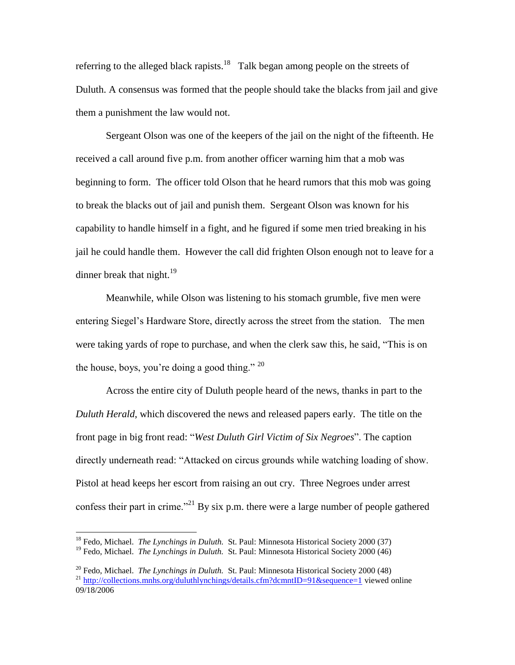referring to the alleged black rapists.<sup>18</sup> Talk began among people on the streets of Duluth. A consensus was formed that the people should take the blacks from jail and give them a punishment the law would not.

Sergeant Olson was one of the keepers of the jail on the night of the fifteenth. He received a call around five p.m. from another officer warning him that a mob was beginning to form. The officer told Olson that he heard rumors that this mob was going to break the blacks out of jail and punish them. Sergeant Olson was known for his capability to handle himself in a fight, and he figured if some men tried breaking in his jail he could handle them. However the call did frighten Olson enough not to leave for a dinner break that night. $^{19}$ 

Meanwhile, while Olson was listening to his stomach grumble, five men were entering Siegel"s Hardware Store, directly across the street from the station. The men were taking yards of rope to purchase, and when the clerk saw this, he said, "This is on the house, boys, you're doing a good thing."  $20$ 

Across the entire city of Duluth people heard of the news, thanks in part to the *Duluth Herald*, which discovered the news and released papers early. The title on the front page in big front read: "*West Duluth Girl Victim of Six Negroes*". The caption directly underneath read: "Attacked on circus grounds while watching loading of show. Pistol at head keeps her escort from raising an out cry. Three Negroes under arrest confess their part in crime."<sup>21</sup> By six p.m. there were a large number of people gathered

<sup>&</sup>lt;sup>18</sup> Fedo, Michael. *The Lynchings in Duluth.* St. Paul: Minnesota Historical Society 2000 (37)

<sup>&</sup>lt;sup>19</sup> Fedo, Michael. *The Lynchings in Duluth.* St. Paul: Minnesota Historical Society 2000 (46)

<sup>20</sup> Fedo, Michael. *The Lynchings in Duluth.* St. Paul: Minnesota Historical Society 2000 (48) <sup>21</sup> <http://collections.mnhs.org/duluthlynchings/details.cfm?dcmntID=91&sequence=1> viewed online 09/18/2006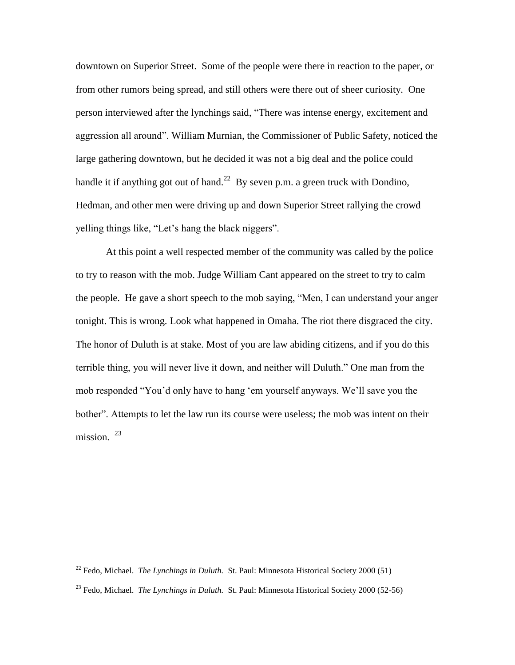downtown on Superior Street. Some of the people were there in reaction to the paper, or from other rumors being spread, and still others were there out of sheer curiosity. One person interviewed after the lynchings said, "There was intense energy, excitement and aggression all around". William Murnian, the Commissioner of Public Safety, noticed the large gathering downtown, but he decided it was not a big deal and the police could handle it if anything got out of hand.<sup>22</sup> By seven p.m. a green truck with Dondino, Hedman, and other men were driving up and down Superior Street rallying the crowd yelling things like, "Let"s hang the black niggers".

At this point a well respected member of the community was called by the police to try to reason with the mob. Judge William Cant appeared on the street to try to calm the people. He gave a short speech to the mob saying, "Men, I can understand your anger tonight. This is wrong. Look what happened in Omaha. The riot there disgraced the city. The honor of Duluth is at stake. Most of you are law abiding citizens, and if you do this terrible thing, you will never live it down, and neither will Duluth." One man from the mob responded "You"d only have to hang "em yourself anyways. We"ll save you the bother". Attempts to let the law run its course were useless; the mob was intent on their mission.<sup>23</sup>

<sup>22</sup> Fedo, Michael. *The Lynchings in Duluth.* St. Paul: Minnesota Historical Society 2000 (51)

<sup>23</sup> Fedo, Michael. *The Lynchings in Duluth.* St. Paul: Minnesota Historical Society 2000 (52-56)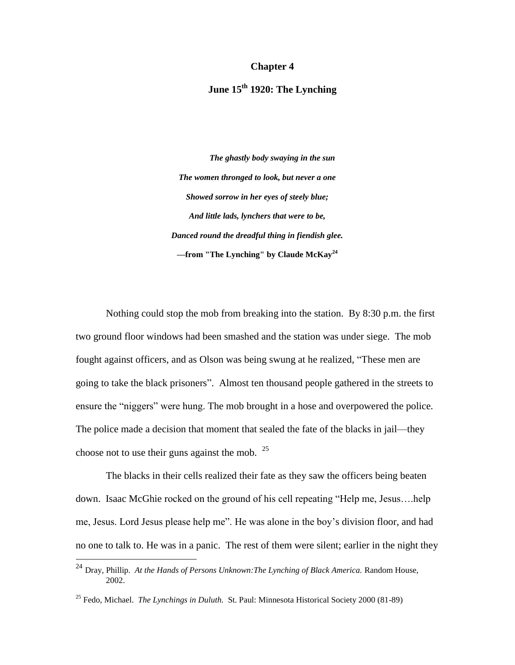### **Chapter 4**

# **June 15th 1920: The Lynching**

*The ghastly body swaying in the sun The women thronged to look, but never a one Showed sorrow in her eyes of steely blue; And little lads, lynchers that were to be, Danced round the dreadful thing in fiendish glee. —***from "The Lynching" by Claude McKay<sup>24</sup>**

Nothing could stop the mob from breaking into the station. By 8:30 p.m. the first two ground floor windows had been smashed and the station was under siege. The mob fought against officers, and as Olson was being swung at he realized, "These men are going to take the black prisoners". Almost ten thousand people gathered in the streets to ensure the "niggers" were hung. The mob brought in a hose and overpowered the police. The police made a decision that moment that sealed the fate of the blacks in jail—they choose not to use their guns against the mob.  $25$ 

The blacks in their cells realized their fate as they saw the officers being beaten down. Isaac McGhie rocked on the ground of his cell repeating "Help me, Jesus….help me, Jesus. Lord Jesus please help me". He was alone in the boy"s division floor, and had no one to talk to. He was in a panic. The rest of them were silent; earlier in the night they

<sup>&</sup>lt;sup>24</sup> Dray, Phillip. *At the Hands of Persons Unknown: The Lynching of Black America. Random House,* 2002.

<sup>25</sup> Fedo, Michael. *The Lynchings in Duluth.* St. Paul: Minnesota Historical Society 2000 (81-89)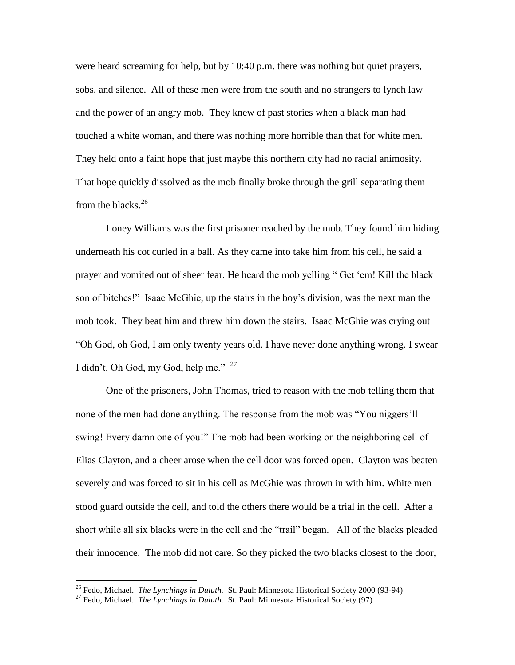were heard screaming for help, but by 10:40 p.m. there was nothing but quiet prayers, sobs, and silence. All of these men were from the south and no strangers to lynch law and the power of an angry mob. They knew of past stories when a black man had touched a white woman, and there was nothing more horrible than that for white men. They held onto a faint hope that just maybe this northern city had no racial animosity. That hope quickly dissolved as the mob finally broke through the grill separating them from the blacks. $26$ 

Loney Williams was the first prisoner reached by the mob. They found him hiding underneath his cot curled in a ball. As they came into take him from his cell, he said a prayer and vomited out of sheer fear. He heard the mob yelling " Get "em! Kill the black son of bitches!" Isaac McGhie, up the stairs in the boy"s division, was the next man the mob took. They beat him and threw him down the stairs. Isaac McGhie was crying out "Oh God, oh God, I am only twenty years old. I have never done anything wrong. I swear I didn't. Oh God, my God, help me."  $27$ 

One of the prisoners, John Thomas, tried to reason with the mob telling them that none of the men had done anything. The response from the mob was "You niggers"ll swing! Every damn one of you!" The mob had been working on the neighboring cell of Elias Clayton, and a cheer arose when the cell door was forced open. Clayton was beaten severely and was forced to sit in his cell as McGhie was thrown in with him. White men stood guard outside the cell, and told the others there would be a trial in the cell. After a short while all six blacks were in the cell and the "trail" began. All of the blacks pleaded their innocence. The mob did not care. So they picked the two blacks closest to the door,

<sup>26</sup> Fedo, Michael. *The Lynchings in Duluth.* St. Paul: Minnesota Historical Society 2000 (93-94)

<sup>&</sup>lt;sup>27</sup> Fedo, Michael. *The Lynchings in Duluth.* St. Paul: Minnesota Historical Society (97)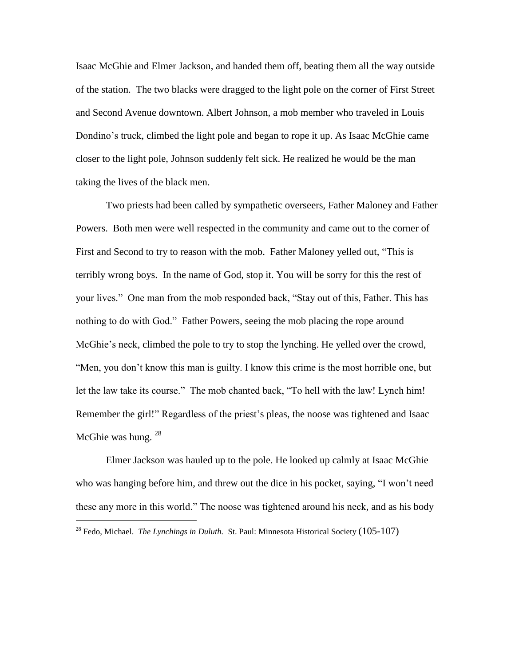Isaac McGhie and Elmer Jackson, and handed them off, beating them all the way outside of the station. The two blacks were dragged to the light pole on the corner of First Street and Second Avenue downtown. Albert Johnson, a mob member who traveled in Louis Dondino"s truck, climbed the light pole and began to rope it up. As Isaac McGhie came closer to the light pole, Johnson suddenly felt sick. He realized he would be the man taking the lives of the black men.

Two priests had been called by sympathetic overseers, Father Maloney and Father Powers. Both men were well respected in the community and came out to the corner of First and Second to try to reason with the mob. Father Maloney yelled out, "This is terribly wrong boys. In the name of God, stop it. You will be sorry for this the rest of your lives." One man from the mob responded back, "Stay out of this, Father. This has nothing to do with God." Father Powers, seeing the mob placing the rope around McGhie's neck, climbed the pole to try to stop the lynching. He yelled over the crowd, "Men, you don"t know this man is guilty. I know this crime is the most horrible one, but let the law take its course." The mob chanted back, "To hell with the law! Lynch him! Remember the girl!" Regardless of the priest's pleas, the noose was tightened and Isaac McGhie was hung.<sup>28</sup>

Elmer Jackson was hauled up to the pole. He looked up calmly at Isaac McGhie who was hanging before him, and threw out the dice in his pocket, saying, "I won"t need these any more in this world." The noose was tightened around his neck, and as his body

<sup>&</sup>lt;sup>28</sup> Fedo, Michael. *The Lynchings in Duluth.* St. Paul: Minnesota Historical Society (105-107)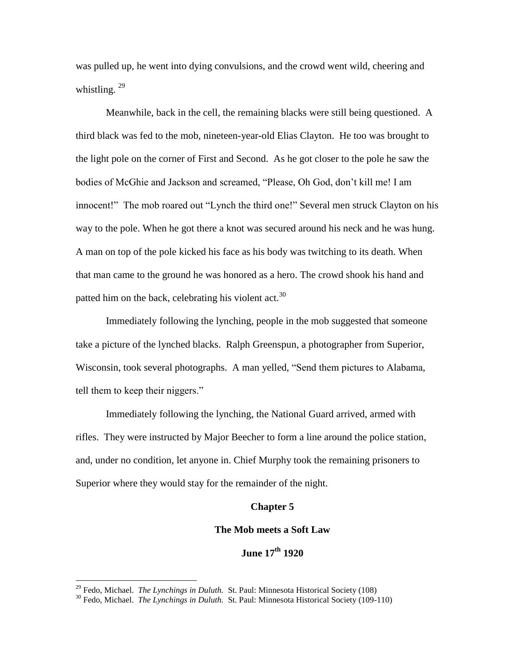was pulled up, he went into dying convulsions, and the crowd went wild, cheering and whistling.  $^{29}$ 

Meanwhile, back in the cell, the remaining blacks were still being questioned. A third black was fed to the mob, nineteen-year-old Elias Clayton. He too was brought to the light pole on the corner of First and Second. As he got closer to the pole he saw the bodies of McGhie and Jackson and screamed, "Please, Oh God, don"t kill me! I am innocent!" The mob roared out "Lynch the third one!" Several men struck Clayton on his way to the pole. When he got there a knot was secured around his neck and he was hung. A man on top of the pole kicked his face as his body was twitching to its death. When that man came to the ground he was honored as a hero. The crowd shook his hand and patted him on the back, celebrating his violent act.<sup>30</sup>

Immediately following the lynching, people in the mob suggested that someone take a picture of the lynched blacks. Ralph Greenspun, a photographer from Superior, Wisconsin, took several photographs. A man yelled, "Send them pictures to Alabama, tell them to keep their niggers."

Immediately following the lynching, the National Guard arrived, armed with rifles. They were instructed by Major Beecher to form a line around the police station, and, under no condition, let anyone in. Chief Murphy took the remaining prisoners to Superior where they would stay for the remainder of the night.

### **Chapter 5**

### **The Mob meets a Soft Law**

# **June 17th 1920**

<sup>29</sup> Fedo, Michael. *The Lynchings in Duluth.* St. Paul: Minnesota Historical Society (108)

<sup>&</sup>lt;sup>30</sup> Fedo, Michael. *The Lynchings in Duluth.* St. Paul: Minnesota Historical Society (109-110)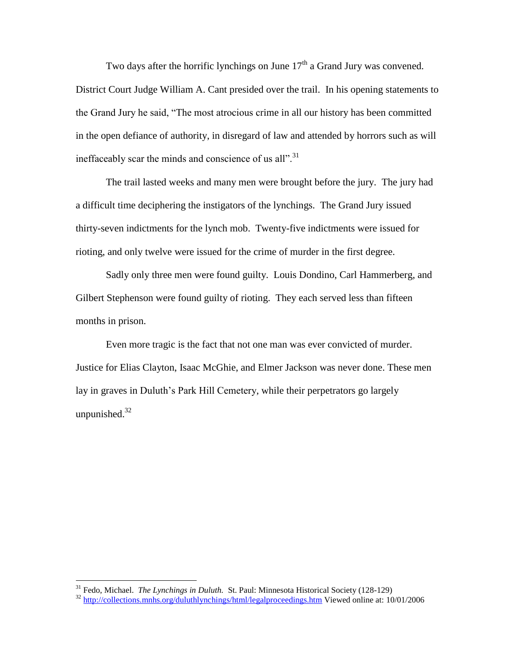Two days after the horrific lynchings on June  $17<sup>th</sup>$  a Grand Jury was convened. District Court Judge William A. Cant presided over the trail. In his opening statements to the Grand Jury he said, "The most atrocious crime in all our history has been committed in the open defiance of authority, in disregard of law and attended by horrors such as will ineffaceably scar the minds and conscience of us all".<sup>31</sup>

The trail lasted weeks and many men were brought before the jury. The jury had a difficult time deciphering the instigators of the lynchings. The Grand Jury issued thirty-seven indictments for the lynch mob. Twenty-five indictments were issued for rioting, and only twelve were issued for the crime of murder in the first degree.

Sadly only three men were found guilty. Louis Dondino, Carl Hammerberg, and Gilbert Stephenson were found guilty of rioting. They each served less than fifteen months in prison.

Even more tragic is the fact that not one man was ever convicted of murder. Justice for Elias Clayton, Isaac McGhie, and Elmer Jackson was never done. These men lay in graves in Duluth's Park Hill Cemetery, while their perpetrators go largely unpunished. $32$ 

<sup>31</sup> Fedo, Michael. *The Lynchings in Duluth.* St. Paul: Minnesota Historical Society (128-129)

<sup>32</sup> <http://collections.mnhs.org/duluthlynchings/html/legalproceedings.htm> Viewed online at: 10/01/2006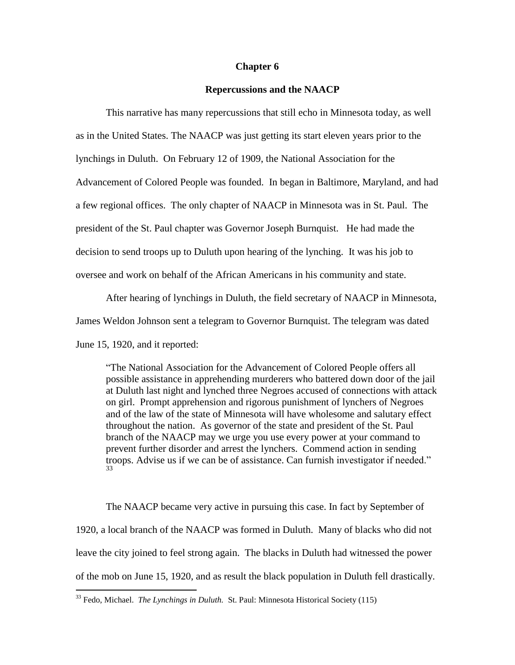## **Chapter 6**

# **Repercussions and the NAACP**

This narrative has many repercussions that still echo in Minnesota today, as well as in the United States. The NAACP was just getting its start eleven years prior to the lynchings in Duluth. On February 12 of 1909, the National Association for the Advancement of Colored People was founded. In began in Baltimore, Maryland, and had a few regional offices. The only chapter of NAACP in Minnesota was in St. Paul. The president of the St. Paul chapter was Governor Joseph Burnquist. He had made the decision to send troops up to Duluth upon hearing of the lynching. It was his job to oversee and work on behalf of the African Americans in his community and state.

After hearing of lynchings in Duluth, the field secretary of NAACP in Minnesota, James Weldon Johnson sent a telegram to Governor Burnquist. The telegram was dated June 15, 1920, and it reported:

"The National Association for the Advancement of Colored People offers all possible assistance in apprehending murderers who battered down door of the jail at Duluth last night and lynched three Negroes accused of connections with attack on girl. Prompt apprehension and rigorous punishment of lynchers of Negroes and of the law of the state of Minnesota will have wholesome and salutary effect throughout the nation. As governor of the state and president of the St. Paul branch of the NAACP may we urge you use every power at your command to prevent further disorder and arrest the lynchers. Commend action in sending troops. Advise us if we can be of assistance. Can furnish investigator if needed." 33

The NAACP became very active in pursuing this case. In fact by September of 1920, a local branch of the NAACP was formed in Duluth. Many of blacks who did not leave the city joined to feel strong again. The blacks in Duluth had witnessed the power of the mob on June 15, 1920, and as result the black population in Duluth fell drastically.

<sup>33</sup> Fedo, Michael. *The Lynchings in Duluth.* St. Paul: Minnesota Historical Society (115)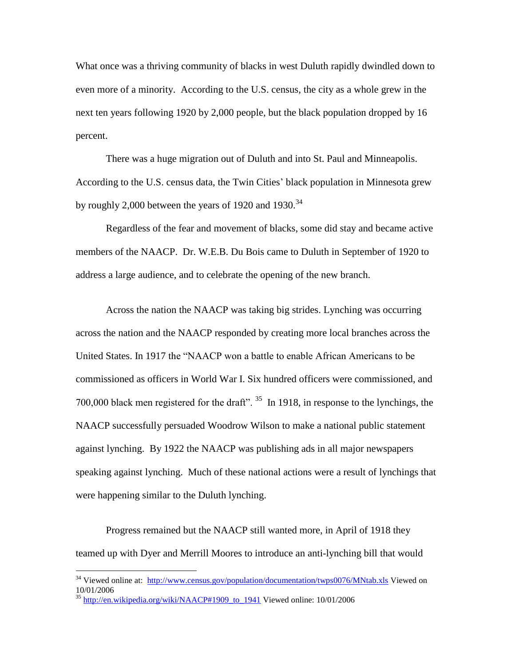What once was a thriving community of blacks in west Duluth rapidly dwindled down to even more of a minority. According to the U.S. census, the city as a whole grew in the next ten years following 1920 by 2,000 people, but the black population dropped by 16 percent.

There was a huge migration out of Duluth and into St. Paul and Minneapolis. According to the U.S. census data, the Twin Cities" black population in Minnesota grew by roughly 2,000 between the years of 1920 and 1930.<sup>34</sup>

Regardless of the fear and movement of blacks, some did stay and became active members of the NAACP. Dr. W.E.B. Du Bois came to Duluth in September of 1920 to address a large audience, and to celebrate the opening of the new branch.

Across the nation the NAACP was taking big strides. Lynching was occurring across the nation and the NAACP responded by creating more local branches across the United States. In 1917 the "NAACP won a battle to enable African Americans to be commissioned as officers in World War I. Six hundred officers were commissioned, and 700,000 black men registered for the draft".  $35$  In 1918, in response to the lynchings, the NAACP successfully persuaded Woodrow Wilson to make a national public statement against lynching. By 1922 the NAACP was publishing ads in all major newspapers speaking against lynching. Much of these national actions were a result of lynchings that were happening similar to the Duluth lynching.

Progress remained but the NAACP still wanted more, in April of 1918 they teamed up with Dyer and Merrill Moores to introduce an anti-lynching bill that would

<sup>&</sup>lt;sup>34</sup> Viewed online at: <http://www.census.gov/population/documentation/twps0076/MNtab.xls> Viewed on 10/01/2006

 $35$  http://en.wikipedia.org/wiki/NAACP#1909 to 1941 Viewed online: 10/01/2006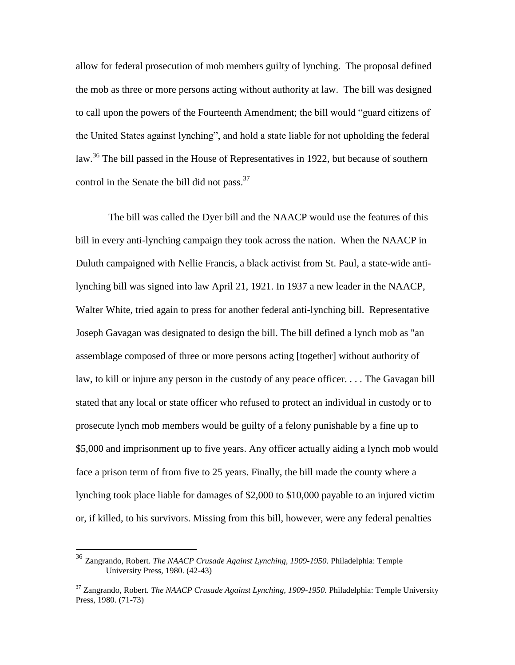allow for federal prosecution of mob members guilty of lynching. The proposal defined the mob as three or more persons acting without authority at law. The bill was designed to call upon the powers of the Fourteenth Amendment; the bill would "guard citizens of the United States against lynching", and hold a state liable for not upholding the federal law.<sup>36</sup> The bill passed in the House of Representatives in 1922, but because of southern control in the Senate the bill did not pass.<sup>37</sup>

The bill was called the Dyer bill and the NAACP would use the features of this bill in every anti-lynching campaign they took across the nation. When the NAACP in Duluth campaigned with Nellie Francis, a black activist from St. Paul, a state-wide antilynching bill was signed into law April 21, 1921. In 1937 a new leader in the NAACP, Walter White, tried again to press for another federal anti-lynching bill. Representative Joseph Gavagan was designated to design the bill. The bill defined a lynch mob as "an assemblage composed of three or more persons acting [together] without authority of law, to kill or injure any person in the custody of any peace officer. . . . The Gavagan bill stated that any local or state officer who refused to protect an individual in custody or to prosecute lynch mob members would be guilty of a felony punishable by a fine up to \$5,000 and imprisonment up to five years. Any officer actually aiding a lynch mob would face a prison term of from five to 25 years. Finally, the bill made the county where a lynching took place liable for damages of \$2,000 to \$10,000 payable to an injured victim or, if killed, to his survivors. Missing from this bill, however, were any federal penalties

<sup>36</sup> Zangrando, Robert. *The NAACP Crusade Against Lynching, 1909-1950.* Philadelphia: Temple University Press, 1980. (42-43)

<sup>37</sup> Zangrando, Robert. *The NAACP Crusade Against Lynching, 1909-1950.* Philadelphia: Temple University Press, 1980. (71-73)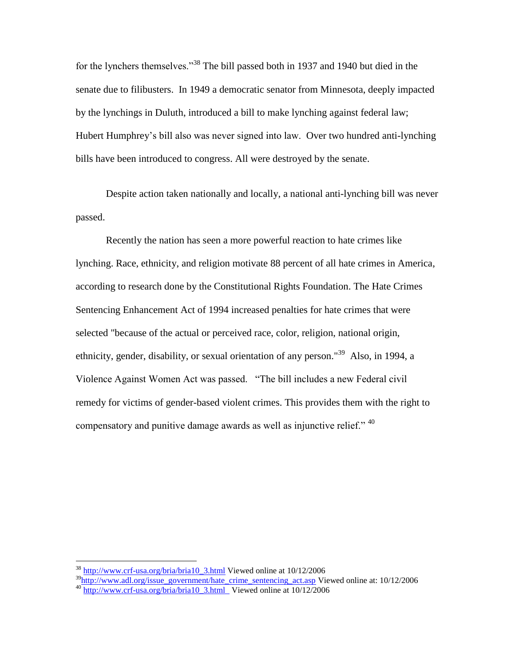for the lynchers themselves."<sup>38</sup> The bill passed both in 1937 and 1940 but died in the senate due to filibusters. In 1949 a democratic senator from Minnesota, deeply impacted by the lynchings in Duluth, introduced a bill to make lynching against federal law; [Hubert Humphrey"](http://gi.grolier.com/presidents/ea/vp/vphumph.html)s bill also was never signed into law. Over two hundred anti-lynching bills have been introduced to congress. All were destroyed by the senate.

Despite action taken nationally and locally, a national anti-lynching bill was never passed.

Recently the nation has seen a more powerful reaction to hate crimes like lynching. Race, ethnicity, and religion motivate 88 percent of all hate crimes in America, according to research done by the Constitutional Rights Foundation. The [Hate Crimes](http://www.adl.org/issue_government/hate_crime_sentencing_act.html)  [Sentencing Enhancement Act of 1994](http://www.adl.org/issue_government/hate_crime_sentencing_act.html) increased penalties for hate crimes that were selected "because of the actual or perceived race, color, religion, national origin, ethnicity, gender, disability, or sexual orientation of any person."<sup>39</sup> Also, in 1994, a Violence Against Women Act was passed. "The bill includes a new Federal civil remedy for victims of gender-based violent crimes. This provides them with the right to compensatory and punitive damage awards as well as injunctive relief."  $40$ 

<sup>38</sup> [http://www.crf-usa.org/bria/bria10\\_3.html](http://www.crf-usa.org/bria/bria10_3.html) Viewed online at 10/12/2006

 $39$ [http://www.adl.org/issue\\_government/hate\\_crime\\_sentencing\\_act.asp](http://www.adl.org/issue_government/hate_crime_sentencing_act.asp) Viewed online at: 10/12/2006 40 [http://www.crf-usa.org/bria/bria10\\_3.html](http://www.crf-usa.org/bria/bria10_3.html%20%20Viewed%20online%2010/12/2006) Viewed online at 10/12/2006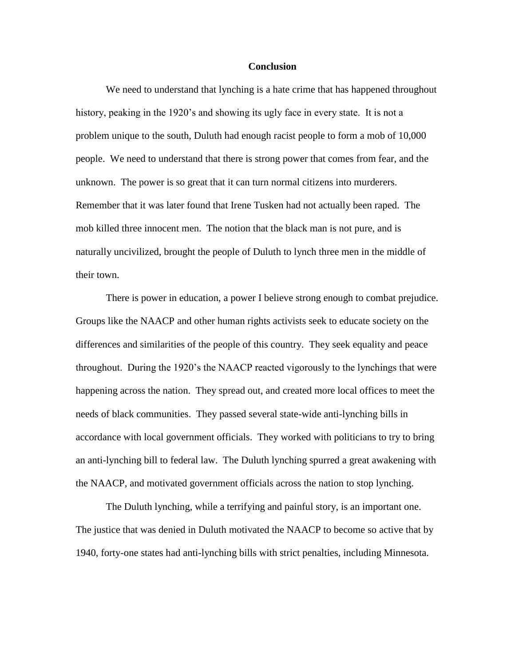### **Conclusion**

We need to understand that lynching is a hate crime that has happened throughout history, peaking in the 1920's and showing its ugly face in every state. It is not a problem unique to the south, Duluth had enough racist people to form a mob of 10,000 people. We need to understand that there is strong power that comes from fear, and the unknown. The power is so great that it can turn normal citizens into murderers. Remember that it was later found that Irene Tusken had not actually been raped. The mob killed three innocent men. The notion that the black man is not pure, and is naturally uncivilized, brought the people of Duluth to lynch three men in the middle of their town.

There is power in education, a power I believe strong enough to combat prejudice. Groups like the NAACP and other human rights activists seek to educate society on the differences and similarities of the people of this country. They seek equality and peace throughout. During the 1920"s the NAACP reacted vigorously to the lynchings that were happening across the nation. They spread out, and created more local offices to meet the needs of black communities. They passed several state-wide anti-lynching bills in accordance with local government officials. They worked with politicians to try to bring an anti-lynching bill to federal law. The Duluth lynching spurred a great awakening with the NAACP, and motivated government officials across the nation to stop lynching.

The Duluth lynching, while a terrifying and painful story, is an important one. The justice that was denied in Duluth motivated the NAACP to become so active that by 1940, forty-one states had anti-lynching bills with strict penalties, including Minnesota.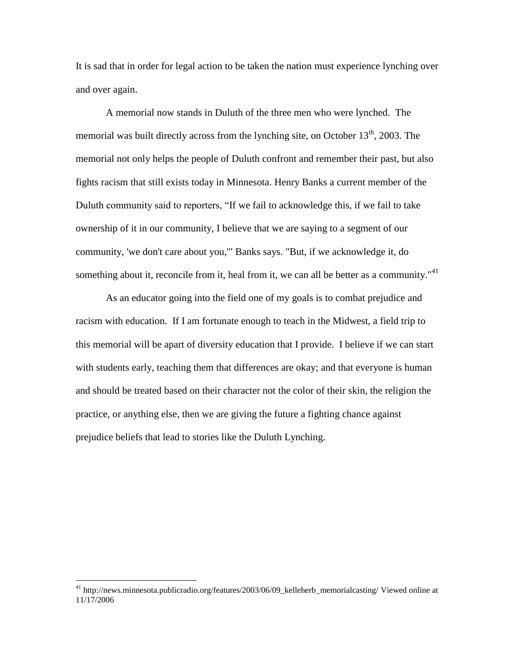It is sad that in order for legal action to be taken the nation must experience lynching over and over again.

A memorial now stands in Duluth of the three men who were lynched. The memorial was built directly across from the lynching site, on October  $13<sup>th</sup>$ , 2003. The memorial not only helps the people of Duluth confront and remember their past, but also fights racism that still exists today in Minnesota. Henry Banks a current member of the Duluth community said to reporters, "If we fail to acknowledge this, if we fail to take ownership of it in our community, I believe that we are saying to a segment of our community, 'we don't care about you,'" Banks says. "But, if we acknowledge it, do something about it, reconcile from it, heal from it, we can all be better as a community."<sup>41</sup>

As an educator going into the field one of my goals is to combat prejudice and racism with education. If I am fortunate enough to teach in the Midwest, a field trip to this memorial will be apart of diversity education that I provide. I believe if we can start with students early, teaching them that differences are okay; and that everyone is human and should be treated based on their character not the color of their skin, the religion the practice, or anything else, then we are giving the future a fighting chance against prejudice beliefs that lead to stories like the Duluth Lynching.

<sup>&</sup>lt;sup>41</sup> http://news.minnesota.publicradio.org/features/2003/06/09\_kelleherb\_memorialcasting/ Viewed online at 11/17/2006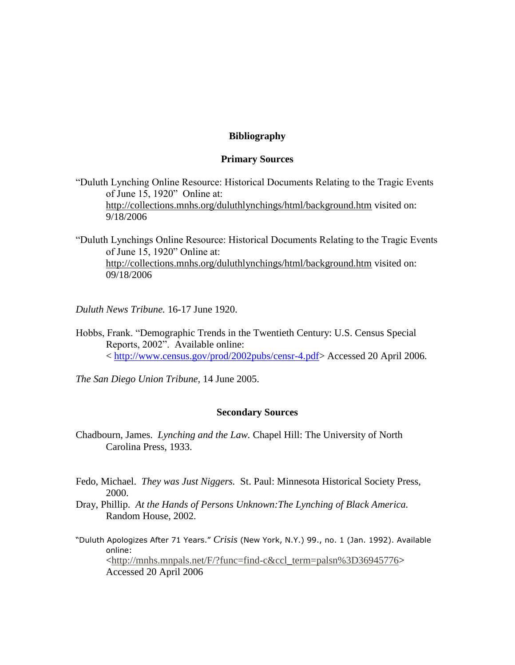# **Bibliography**

# **Primary Sources**

- "Duluth Lynching Online Resource: Historical Documents Relating to the Tragic Events of June 15, 1920" Online at: <http://collections.mnhs.org/duluthlynchings/html/background.htm> visited on: 9/18/2006
- "Duluth Lynchings Online Resource: Historical Documents Relating to the Tragic Events of June 15, 1920" Online at: <http://collections.mnhs.org/duluthlynchings/html/background.htm> visited on: 09/18/2006
- *Duluth News Tribune.* 16-17 June 1920.
- Hobbs, Frank. "Demographic Trends in the Twentieth Century: U.S. Census Special Reports, 2002". Available online: < [http://www.census.gov/prod/2002pubs/censr-4.pdf>](http://www.census.gov/prod/2002pubs/censr-4.pdf) Accessed 20 April 2006.
- *The San Diego Union Tribune,* 14 June 2005.

# **Secondary Sources**

- Chadbourn, James. *Lynching and the Law.* Chapel Hill: The University of North Carolina Press, 1933.
- Fedo, Michael. *They was Just Niggers.* St. Paul: Minnesota Historical Society Press, 2000.
- Dray, Phillip. *At the Hands of Persons Unknown:The Lynching of Black America.*  Random House, 2002.
- "Duluth Apologizes After 71 Years." *Crisis* (New York, N.Y.) 99., no. 1 (Jan. 1992). Available online: [<http://mnhs.mnpals.net/F/?func=find-c&ccl\\_term=palsn%3D36945776>](http://mnhs.mnpals.net/F/?func=find-c&ccl_term=palsn%3D36945776) Accessed 20 April 2006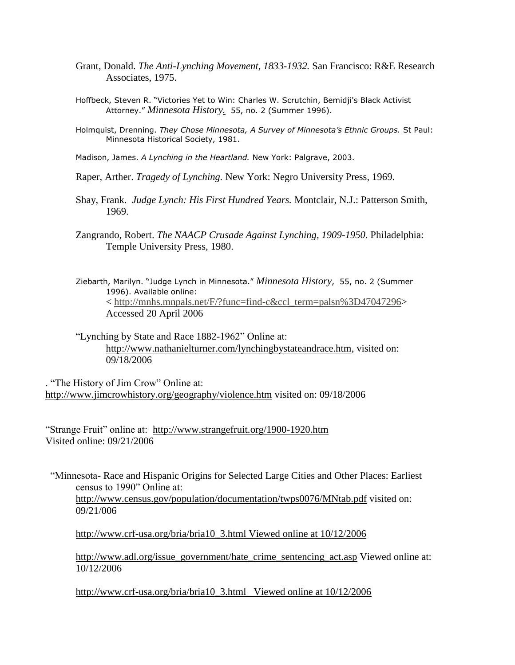- Grant, Donald. *The Anti-Lynching Movement, 1833-1932.* San Francisco: R&E Research Associates, 1975.
- Hoffbeck, Steven R. "Victories Yet to Win: Charles W. Scrutchin, Bemidji's Black Activist Attorney." *Minnesota History.* 55, no. 2 (Summer 1996).
- Holmquist, Drenning. *They Chose Minnesota, A Survey of Minnesota's Ethnic Groups.* St Paul: Minnesota Historical Society, 1981.
- Madison, James. *A Lynching in the Heartland.* New York: Palgrave, 2003.
- Raper, Arther. *Tragedy of Lynching.* New York: Negro University Press, 1969.
- Shay, Frank. *Judge Lynch: His First Hundred Years.* Montclair, N.J.: Patterson Smith, 1969.
- Zangrando, Robert. *The NAACP Crusade Against Lynching, 1909-1950.* Philadelphia: Temple University Press, 1980.
- Ziebarth, Marilyn. "Judge Lynch in Minnesota." *Minnesota History*, 55, no. 2 (Summer 1996). Available online: < [http://mnhs.mnpals.net/F/?func=find-c&ccl\\_term=palsn%3D47047296>](http://mnhs.mnpals.net/F/?func=find-c&ccl_term=palsn%3D47047296) Accessed 20 April 2006
- "Lynching by State and Race 1882-1962" Online at: [http://www.nathanielturner.com/lynchingbystateandrace.htm,](http://www.nathanielturner.com/lynchingbystateandrace.htm) visited on: 09/18/2006

. "The History of Jim Crow" Online at: <http://www.jimcrowhistory.org/geography/violence.htm> visited on: 09/18/2006

"Strange Fruit" online at: <http://www.strangefruit.org/1900-1920.htm> Visited online: 09/21/2006

 "Minnesota- Race and Hispanic Origins for Selected Large Cities and Other Places: Earliest census to 1990" Online at: <http://www.census.gov/population/documentation/twps0076/MNtab.pdf> visited on: 09/21/006

[http://www.crf-usa.org/bria/bria10\\_3.html Viewed online](http://www.crf-usa.org/bria/bria10_3.html%20Viewed%20online%20at%2010/12/2006) at 10/12/2006

[http://www.adl.org/issue\\_government/hate\\_crime\\_sentencing\\_act.asp](http://www.adl.org/issue_government/hate_crime_sentencing_act.asp) Viewed online at: 10/12/2006

[http://www.crf-usa.org/bria/bria10\\_3.html Viewed online at 10/12/2006](http://www.crf-usa.org/bria/bria10_3.html%20%20%20Viewed%20online%20at%2010/12/2006)